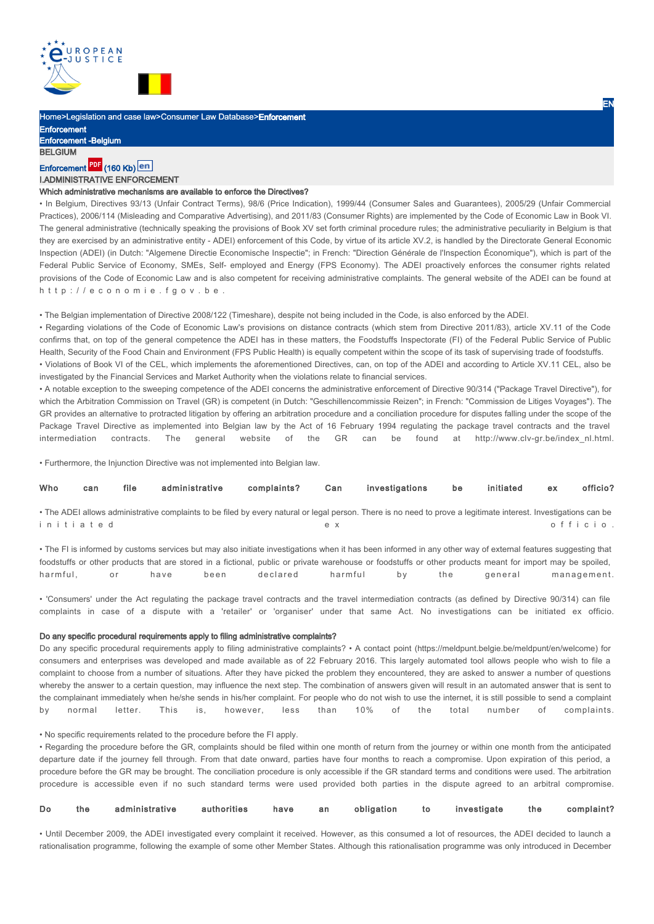

Home>Legislation and case law>Consumer Law Database>Enforcement

Enforcement Enforcement -Belgium **BELGIUM** 

# Enforcement **Hall** (160 Kb)

# I.ADMINISTRATIVE ENFORCEMENT

# Which administrative mechanisms are available to enforce the Directives?

• In Belgium, Directives 93/13 (Unfair Contract Terms), 98/6 (Price Indication), 1999/44 (Consumer Sales and Guarantees), 2005/29 (Unfair Commercial Practices), 2006/114 (Misleading and Comparative Advertising), and 2011/83 (Consumer Rights) are implemented by the Code of Economic Law in Book VI. The general administrative (technically speaking the provisions of Book XV set forth criminal procedure rules; the administrative peculiarity in Belgium is that they are exercised by an administrative entity - ADEI) enforcement of this Code, by virtue of its article XV.2, is handled by the Directorate General Economic Inspection (ADEI) (in Dutch: "Algemene Directie Economische Inspectie"; in French: "Direction Générale de l'Inspection Économique"), which is part of the Federal Public Service of Economy, SMEs, Self- employed and Energy (FPS Economy). The ADEI proactively enforces the consumer rights related provisions of the Code of Economic Law and is also competent for receiving administrative complaints. The general website of the ADEI can be found at http://economie.fgov.be.

• The Belgian implementation of Directive 2008/122 (Timeshare), despite not being included in the Code, is also enforced by the ADEI.

• Regarding violations of the Code of Economic Law's provisions on distance contracts (which stem from Directive 2011/83), article XV.11 of the Code confirms that, on top of the general competence the ADEI has in these matters, the Foodstuffs Inspectorate (FI) of the Federal Public Service of Public Health, Security of the Food Chain and Environment (FPS Public Health) is equally competent within the scope of its task of supervising trade of foodstuffs. • Violations of Book VI of the CEL, which implements the aforementioned Directives, can, on top of the ADEI and according to Article XV.11 CEL, also be

investigated by the Financial Services and Market Authority when the violations relate to financial services. • A notable exception to the sweeping competence of the ADEI concerns the administrative enforcement of Directive 90/314 ("Package Travel Directive"), for

which the Arbitration Commission on Travel (GR) is competent (in Dutch: "Geschillencommissie Reizen"; in French: "Commission de Litiges Voyages"). The GR provides an alternative to protracted litigation by offering an arbitration procedure and a conciliation procedure for disputes falling under the scope of the Package Travel Directive as implemented into Belgian law by the Act of 16 February 1994 regulating the package travel contracts and the travel intermediation contracts. The general website of the GR can be found at http://www.clv-gr.be/index\_nl.html.

• Furthermore, the Injunction Directive was not implemented into Belgian law.

| Who       | can | file | administrative                                                                                                                                                   | complaints? | Can | investigations | be | initiated | ex | officio? |
|-----------|-----|------|------------------------------------------------------------------------------------------------------------------------------------------------------------------|-------------|-----|----------------|----|-----------|----|----------|
|           |     |      | • The ADEI allows administrative complaints to be filed by every natural or legal person. There is no need to prove a legitimate interest. Investigations can be |             |     |                |    |           |    |          |
| initiated |     |      |                                                                                                                                                                  |             | e x |                |    |           |    | officio. |

• The FI is informed by customs services but may also initiate investigations when it has been informed in any other way of external features suggesting that foodstuffs or other products that are stored in a fictional, public or private warehouse or foodstuffs or other products meant for import may be spoiled, harmful, or have been declared harmful by the general management.

• 'Consumers' under the Act regulating the package travel contracts and the travel intermediation contracts (as defined by Directive 90/314) can file complaints in case of a dispute with a 'retailer' or 'organiser' under that same Act. No investigations can be initiated ex officio.

#### Do any specific procedural requirements apply to filing administrative complaints?

Do any specific procedural requirements apply to filing administrative complaints? • A contact point (https://meldpunt.belgie.be/meldpunt/en/welcome) for consumers and enterprises was developed and made available as of 22 February 2016. This largely automated tool allows people who wish to file a complaint to choose from a number of situations. After they have picked the problem they encountered, they are asked to answer a number of questions whereby the answer to a certain question, may influence the next step. The combination of answers given will result in an automated answer that is sent to the complainant immediately when he/she sends in his/her complaint. For people who do not wish to use the internet, it is still possible to send a complaint by normal letter. This is, however, less than 10% of the total number of complaints.

• No specific requirements related to the procedure before the FI apply.

• Regarding the procedure before the GR, complaints should be filed within one month of return from the journey or within one month from the anticipated departure date if the journey fell through. From that date onward, parties have four months to reach a compromise. Upon expiration of this period, a procedure before the GR may be brought. The conciliation procedure is only accessible if the GR standard terms and conditions were used. The arbitration procedure is accessible even if no such standard terms were used provided both parties in the dispute agreed to an arbitral compromise.

|  |  | Do the administrative authorities have an obligation to investigate the complaint? |  |  |  |  |  |  |  |  |
|--|--|------------------------------------------------------------------------------------|--|--|--|--|--|--|--|--|
|--|--|------------------------------------------------------------------------------------|--|--|--|--|--|--|--|--|

• Until December 2009, the ADEI investigated every complaint it received. However, as this consumed a lot of resources, the ADEI decided to launch a rationalisation programme, following the example of some other Member States. Although this rationalisation programme was only introduced in December

EN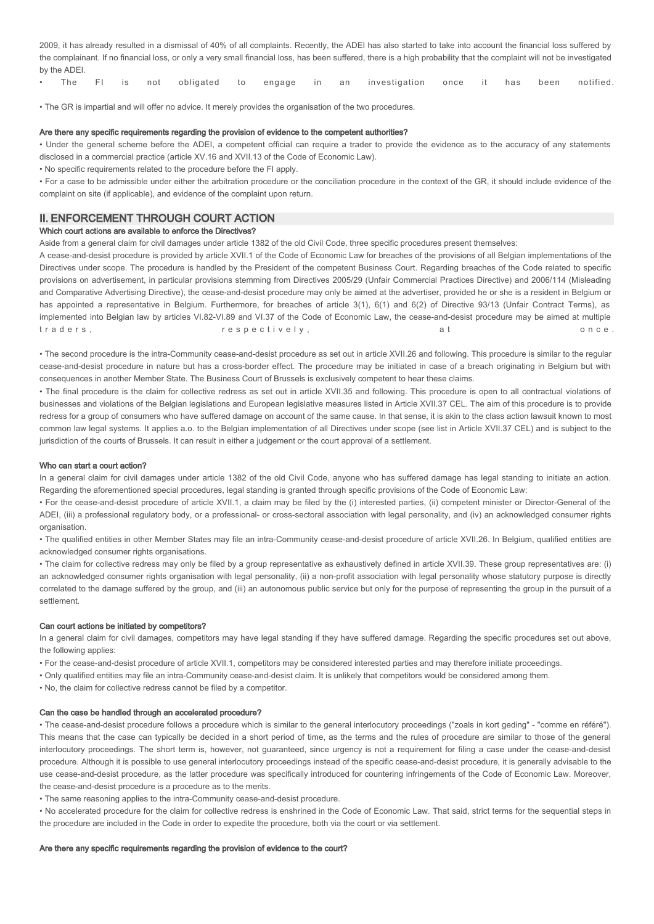2009, it has already resulted in a dismissal of 40% of all complaints. Recently, the ADEI has also started to take into account the financial loss suffered by the complainant. If no financial loss, or only a very small financial loss, has been suffered, there is a high probability that the complaint will not be investigated by the ADEI.

|  |  |  |  |  |  |  |  |  |  | • The FI is not obligated to engage in an investigation once it has been notified. |  |  |  |  |  |
|--|--|--|--|--|--|--|--|--|--|------------------------------------------------------------------------------------|--|--|--|--|--|
|--|--|--|--|--|--|--|--|--|--|------------------------------------------------------------------------------------|--|--|--|--|--|

• The GR is impartial and will offer no advice. It merely provides the organisation of the two procedures.

#### Are there any specific requirements regarding the provision of evidence to the competent authorities?

• Under the general scheme before the ADEI, a competent official can require a trader to provide the evidence as to the accuracy of any statements disclosed in a commercial practice (article XV.16 and XVII.13 of the Code of Economic Law).

• No specific requirements related to the procedure before the FI apply.

• For a case to be admissible under either the arbitration procedure or the conciliation procedure in the context of the GR, it should include evidence of the complaint on site (if applicable), and evidence of the complaint upon return.

# II. ENFORCEMENT THROUGH COURT ACTION

### Which court actions are available to enforce the Directives?

Aside from a general claim for civil damages under article 1382 of the old Civil Code, three specific procedures present themselves:

A cease-and-desist procedure is provided by article XVII.1 of the Code of Economic Law for breaches of the provisions of all Belgian implementations of the Directives under scope. The procedure is handled by the President of the competent Business Court. Regarding breaches of the Code related to specific provisions on advertisement, in particular provisions stemming from Directives 2005/29 (Unfair Commercial Practices Directive) and 2006/114 (Misleading and Comparative Advertising Directive), the cease-and-desist procedure may only be aimed at the advertiser, provided he or she is a resident in Belgium or has appointed a representative in Belgium. Furthermore, for breaches of article 3(1), 6(1) and 6(2) of Directive 93/13 (Unfair Contract Terms), as implemented into Belgian law by articles VI.82-VI.89 and VI.37 of the Code of Economic Law, the cease-and-desist procedure may be aimed at multiple t r a d e r s, r e s p e c t i v e l y , a t on c e .

• The second procedure is the intra-Community cease-and-desist procedure as set out in article XVII.26 and following. This procedure is similar to the regular cease-and-desist procedure in nature but has a cross-border effect. The procedure may be initiated in case of a breach originating in Belgium but with consequences in another Member State. The Business Court of Brussels is exclusively competent to hear these claims.

• The final procedure is the claim for collective redress as set out in article XVII.35 and following. This procedure is open to all contractual violations of businesses and violations of the Belgian legislations and European legislative measures listed in Article XVII.37 CEL. The aim of this procedure is to provide redress for a group of consumers who have suffered damage on account of the same cause. In that sense, it is akin to the class action lawsuit known to most common law legal systems. It applies a.o. to the Belgian implementation of all Directives under scope (see list in Article XVII.37 CEL) and is subject to the jurisdiction of the courts of Brussels. It can result in either a judgement or the court approval of a settlement.

### Who can start a court action?

In a general claim for civil damages under article 1382 of the old Civil Code, anyone who has suffered damage has legal standing to initiate an action. Regarding the aforementioned special procedures, legal standing is granted through specific provisions of the Code of Economic Law:

• For the cease-and-desist procedure of article XVII.1, a claim may be filed by the (i) interested parties, (ii) competent minister or Director-General of the ADEI, (iii) a professional regulatory body, or a professional- or cross-sectoral association with legal personality, and (iv) an acknowledged consumer rights organisation.

• The qualified entities in other Member States may file an intra-Community cease-and-desist procedure of article XVII.26. In Belgium, qualified entities are acknowledged consumer rights organisations.

• The claim for collective redress may only be filed by a group representative as exhaustively defined in article XVII.39. These group representatives are: (i) an acknowledged consumer rights organisation with legal personality, (ii) a non-profit association with legal personality whose statutory purpose is directly correlated to the damage suffered by the group, and (iii) an autonomous public service but only for the purpose of representing the group in the pursuit of a settlement.

### Can court actions be initiated by competitors?

In a general claim for civil damages, competitors may have legal standing if they have suffered damage. Regarding the specific procedures set out above, the following applies:

• For the cease-and-desist procedure of article XVII.1, competitors may be considered interested parties and may therefore initiate proceedings.

- Only qualified entities may file an intra-Community cease-and-desist claim. It is unlikely that competitors would be considered among them.
- No, the claim for collective redress cannot be filed by a competitor.

### Can the case be handled through an accelerated procedure?

• The cease-and-desist procedure follows a procedure which is similar to the general interlocutory proceedings ("zoals in kort geding" - "comme en référé"). This means that the case can typically be decided in a short period of time, as the terms and the rules of procedure are similar to those of the general interlocutory proceedings. The short term is, however, not guaranteed, since urgency is not a requirement for filing a case under the cease-and-desist procedure. Although it is possible to use general interlocutory proceedings instead of the specific cease-and-desist procedure, it is generally advisable to the use cease-and-desist procedure, as the latter procedure was specifically introduced for countering infringements of the Code of Economic Law. Moreover, the cease-and-desist procedure is a procedure as to the merits.

• The same reasoning applies to the intra-Community cease-and-desist procedure.

• No accelerated procedure for the claim for collective redress is enshrined in the Code of Economic Law. That said, strict terms for the sequential steps in the procedure are included in the Code in order to expedite the procedure, both via the court or via settlement.

### Are there any specific requirements regarding the provision of evidence to the court?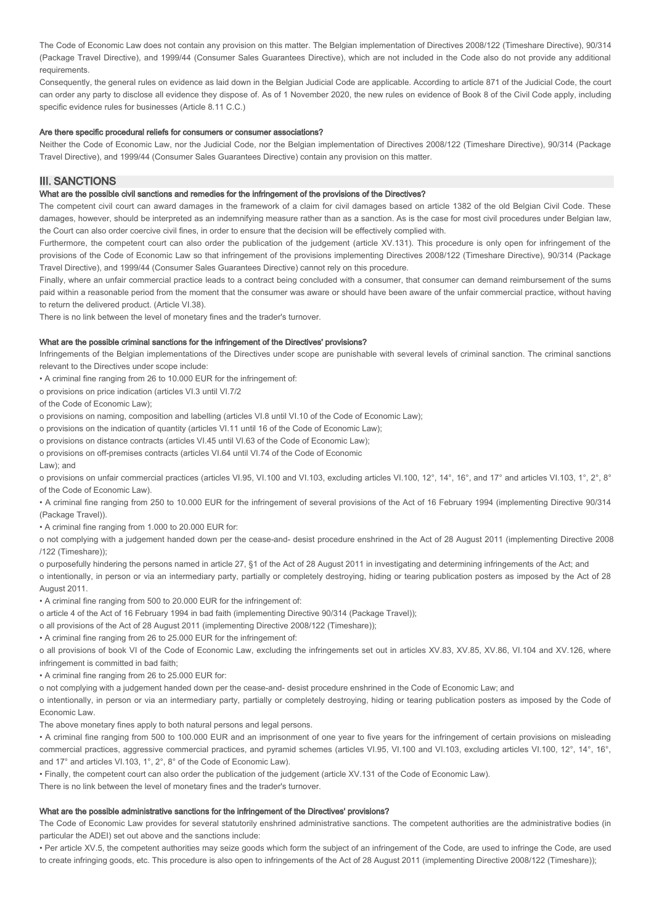The Code of Economic Law does not contain any provision on this matter. The Belgian implementation of Directives 2008/122 (Timeshare Directive), 90/314 (Package Travel Directive), and 1999/44 (Consumer Sales Guarantees Directive), which are not included in the Code also do not provide any additional requirements.

Consequently, the general rules on evidence as laid down in the Belgian Judicial Code are applicable. According to article 871 of the Judicial Code, the court can order any party to disclose all evidence they dispose of. As of 1 November 2020, the new rules on evidence of Book 8 of the Civil Code apply, including specific evidence rules for businesses (Article 8.11 C.C.)

### Are there specific procedural reliefs for consumers or consumer associations?

Neither the Code of Economic Law, nor the Judicial Code, nor the Belgian implementation of Directives 2008/122 (Timeshare Directive), 90/314 (Package Travel Directive), and 1999/44 (Consumer Sales Guarantees Directive) contain any provision on this matter.

# III. SANCTIONS

# What are the possible civil sanctions and remedies for the infringement of the provisions of the Directives?

The competent civil court can award damages in the framework of a claim for civil damages based on article 1382 of the old Belgian Civil Code. These damages, however, should be interpreted as an indemnifying measure rather than as a sanction. As is the case for most civil procedures under Belgian law, the Court can also order coercive civil fines, in order to ensure that the decision will be effectively complied with.

Furthermore, the competent court can also order the publication of the judgement (article XV.131). This procedure is only open for infringement of the provisions of the Code of Economic Law so that infringement of the provisions implementing Directives 2008/122 (Timeshare Directive), 90/314 (Package Travel Directive), and 1999/44 (Consumer Sales Guarantees Directive) cannot rely on this procedure.

Finally, where an unfair commercial practice leads to a contract being concluded with a consumer, that consumer can demand reimbursement of the sums paid within a reasonable period from the moment that the consumer was aware or should have been aware of the unfair commercial practice, without having to return the delivered product. (Article VI.38).

There is no link between the level of monetary fines and the trader's turnover.

### What are the possible criminal sanctions for the infringement of the Directives' provisions?

Infringements of the Belgian implementations of the Directives under scope are punishable with several levels of criminal sanction. The criminal sanctions relevant to the Directives under scope include:

• A criminal fine ranging from 26 to 10.000 EUR for the infringement of:

o provisions on price indication (articles VI.3 until VI.7/2

of the Code of Economic Law);

o provisions on naming, composition and labelling (articles VI.8 until VI.10 of the Code of Economic Law);

o provisions on the indication of quantity (articles VI.11 until 16 of the Code of Economic Law);

o provisions on distance contracts (articles VI.45 until VI.63 of the Code of Economic Law);

o provisions on off-premises contracts (articles VI.64 until VI.74 of the Code of Economic

Law); and

o provisions on unfair commercial practices (articles VI.95, VI.100 and VI.103, excluding articles VI.100, 12°, 14°, 16°, and 17° and articles VI.103, 1°, 2°, 8° of the Code of Economic Law).

• A criminal fine ranging from 250 to 10.000 EUR for the infringement of several provisions of the Act of 16 February 1994 (implementing Directive 90/314 (Package Travel)).

• A criminal fine ranging from 1.000 to 20.000 EUR for:

o not complying with a judgement handed down per the cease-and- desist procedure enshrined in the Act of 28 August 2011 (implementing Directive 2008 /122 (Timeshare));

o purposefully hindering the persons named in article 27, §1 of the Act of 28 August 2011 in investigating and determining infringements of the Act; and

o intentionally, in person or via an intermediary party, partially or completely destroying, hiding or tearing publication posters as imposed by the Act of 28 August 2011.

• A criminal fine ranging from 500 to 20.000 EUR for the infringement of:

o article 4 of the Act of 16 February 1994 in bad faith (implementing Directive 90/314 (Package Travel));

o all provisions of the Act of 28 August 2011 (implementing Directive 2008/122 (Timeshare));

• A criminal fine ranging from 26 to 25.000 EUR for the infringement of:

o all provisions of book VI of the Code of Economic Law, excluding the infringements set out in articles XV.83, XV.85, XV.86, VI.104 and XV.126, where infringement is committed in bad faith;

• A criminal fine ranging from 26 to 25.000 EUR for:

o not complying with a judgement handed down per the cease-and- desist procedure enshrined in the Code of Economic Law; and

o intentionally, in person or via an intermediary party, partially or completely destroying, hiding or tearing publication posters as imposed by the Code of Economic Law.

The above monetary fines apply to both natural persons and legal persons.

• A criminal fine ranging from 500 to 100.000 EUR and an imprisonment of one year to five years for the infringement of certain provisions on misleading commercial practices, aggressive commercial practices, and pyramid schemes (articles VI.95, VI.100 and VI.103, excluding articles VI.100, 12°, 14°, 16°, and 17° and articles VI.103, 1°, 2°, 8° of the Code of Economic Law).

• Finally, the competent court can also order the publication of the judgement (article XV.131 of the Code of Economic Law).

There is no link between the level of monetary fines and the trader's turnover.

### What are the possible administrative sanctions for the infringement of the Directives' provisions?

The Code of Economic Law provides for several statutorily enshrined administrative sanctions. The competent authorities are the administrative bodies (in particular the ADEI) set out above and the sanctions include:

• Per article XV.5, the competent authorities may seize goods which form the subject of an infringement of the Code, are used to infringe the Code, are used to create infringing goods, etc. This procedure is also open to infringements of the Act of 28 August 2011 (implementing Directive 2008/122 (Timeshare));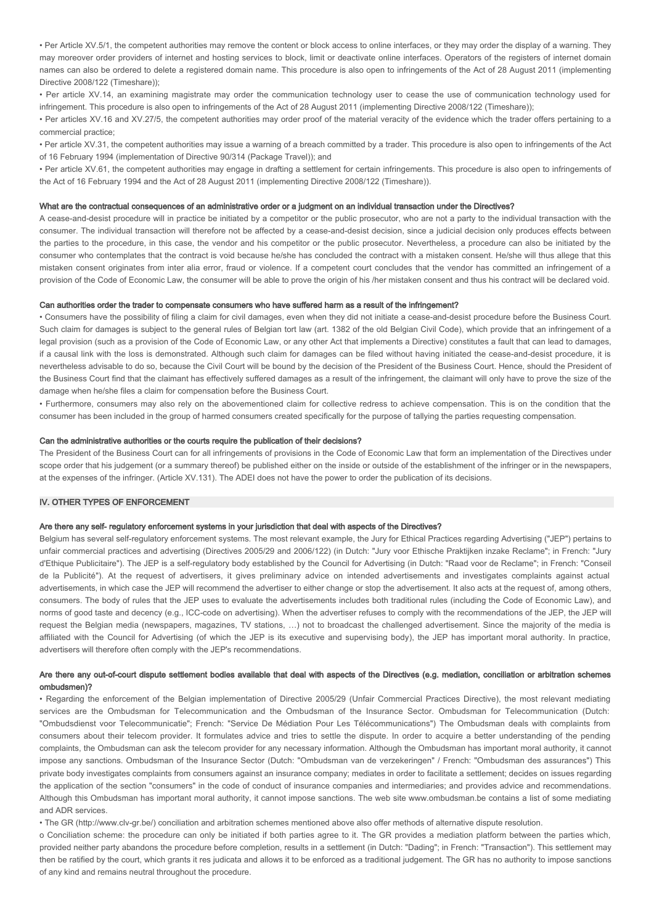• Per Article XV.5/1, the competent authorities may remove the content or block access to online interfaces, or they may order the display of a warning. They may moreover order providers of internet and hosting services to block, limit or deactivate online interfaces. Operators of the registers of internet domain names can also be ordered to delete a registered domain name. This procedure is also open to infringements of the Act of 28 August 2011 (implementing Directive 2008/122 (Timeshare));

• Per article XV.14, an examining magistrate may order the communication technology user to cease the use of communication technology used for infringement. This procedure is also open to infringements of the Act of 28 August 2011 (implementing Directive 2008/122 (Timeshare));

• Per articles XV.16 and XV.27/5, the competent authorities may order proof of the material veracity of the evidence which the trader offers pertaining to a commercial practice;

• Per article XV.31, the competent authorities may issue a warning of a breach committed by a trader. This procedure is also open to infringements of the Act of 16 February 1994 (implementation of Directive 90/314 (Package Travel)); and

• Per article XV.61, the competent authorities may engage in drafting a settlement for certain infringements. This procedure is also open to infringements of the Act of 16 February 1994 and the Act of 28 August 2011 (implementing Directive 2008/122 (Timeshare)).

#### What are the contractual consequences of an administrative order or a judgment on an individual transaction under the Directives?

A cease-and-desist procedure will in practice be initiated by a competitor or the public prosecutor, who are not a party to the individual transaction with the consumer. The individual transaction will therefore not be affected by a cease-and-desist decision, since a judicial decision only produces effects between the parties to the procedure, in this case, the vendor and his competitor or the public prosecutor. Nevertheless, a procedure can also be initiated by the consumer who contemplates that the contract is void because he/she has concluded the contract with a mistaken consent. He/she will thus allege that this mistaken consent originates from inter alia error, fraud or violence. If a competent court concludes that the vendor has committed an infringement of a provision of the Code of Economic Law, the consumer will be able to prove the origin of his /her mistaken consent and thus his contract will be declared void.

# Can authorities order the trader to compensate consumers who have suffered harm as a result of the infringement?

• Consumers have the possibility of filing a claim for civil damages, even when they did not initiate a cease-and-desist procedure before the Business Court. Such claim for damages is subject to the general rules of Belgian tort law (art. 1382 of the old Belgian Civil Code), which provide that an infringement of a legal provision (such as a provision of the Code of Economic Law, or any other Act that implements a Directive) constitutes a fault that can lead to damages, if a causal link with the loss is demonstrated. Although such claim for damages can be filed without having initiated the cease-and-desist procedure, it is nevertheless advisable to do so, because the Civil Court will be bound by the decision of the President of the Business Court. Hence, should the President of the Business Court find that the claimant has effectively suffered damages as a result of the infringement, the claimant will only have to prove the size of the damage when he/she files a claim for compensation before the Business Court.

• Furthermore, consumers may also rely on the abovementioned claim for collective redress to achieve compensation. This is on the condition that the consumer has been included in the group of harmed consumers created specifically for the purpose of tallying the parties requesting compensation.

# Can the administrative authorities or the courts require the publication of their decisions?

The President of the Business Court can for all infringements of provisions in the Code of Economic Law that form an implementation of the Directives under scope order that his judgement (or a summary thereof) be published either on the inside or outside of the establishment of the infringer or in the newspapers, at the expenses of the infringer. (Article XV.131). The ADEI does not have the power to order the publication of its decisions.

### IV. OTHER TYPES OF ENFORCEMENT

### Are there any self- regulatory enforcement systems in your jurisdiction that deal with aspects of the Directives?

Belgium has several self-regulatory enforcement systems. The most relevant example, the Jury for Ethical Practices regarding Advertising ("JEP") pertains to unfair commercial practices and advertising (Directives 2005/29 and 2006/122) (in Dutch: "Jury voor Ethische Praktijken inzake Reclame"; in French: "Jury d'Ethique Publicitaire"). The JEP is a self-regulatory body established by the Council for Advertising (in Dutch: "Raad voor de Reclame"; in French: "Conseil de la Publicité"). At the request of advertisers, it gives preliminary advice on intended advertisements and investigates complaints against actual advertisements, in which case the JEP will recommend the advertiser to either change or stop the advertisement. It also acts at the request of, among others, consumers. The body of rules that the JEP uses to evaluate the advertisements includes both traditional rules (including the Code of Economic Law), and norms of good taste and decency (e.g., ICC-code on advertising). When the advertiser refuses to comply with the recommendations of the JEP, the JEP will request the Belgian media (newspapers, magazines, TV stations, …) not to broadcast the challenged advertisement. Since the majority of the media is affiliated with the Council for Advertising (of which the JEP is its executive and supervising body), the JEP has important moral authority. In practice, advertisers will therefore often comply with the JEP's recommendations.

### Are there any out-of-court dispute settlement bodies available that deal with aspects of the Directives (e.g. mediation, conciliation or arbitration schemes ombudsmen)?

• Regarding the enforcement of the Belgian implementation of Directive 2005/29 (Unfair Commercial Practices Directive), the most relevant mediating services are the Ombudsman for Telecommunication and the Ombudsman of the Insurance Sector. Ombudsman for Telecommunication (Dutch: "Ombudsdienst voor Telecommunicatie"; French: "Service De Médiation Pour Les Télécommunications") The Ombudsman deals with complaints from consumers about their telecom provider. It formulates advice and tries to settle the dispute. In order to acquire a better understanding of the pending complaints, the Ombudsman can ask the telecom provider for any necessary information. Although the Ombudsman has important moral authority, it cannot impose any sanctions. Ombudsman of the Insurance Sector (Dutch: "Ombudsman van de verzekeringen" / French: "Ombudsman des assurances") This private body investigates complaints from consumers against an insurance company; mediates in order to facilitate a settlement; decides on issues regarding the application of the section "consumers" in the code of conduct of insurance companies and intermediaries; and provides advice and recommendations. Although this Ombudsman has important moral authority, it cannot impose sanctions. The web site www.ombudsman.be contains a list of some mediating and ADR services.

• The GR (http://www.clv-gr.be/) conciliation and arbitration schemes mentioned above also offer methods of alternative dispute resolution.

o Conciliation scheme: the procedure can only be initiated if both parties agree to it. The GR provides a mediation platform between the parties which, provided neither party abandons the procedure before completion, results in a settlement (in Dutch: "Dading"; in French: "Transaction"). This settlement may then be ratified by the court, which grants it res judicata and allows it to be enforced as a traditional judgement. The GR has no authority to impose sanctions of any kind and remains neutral throughout the procedure.